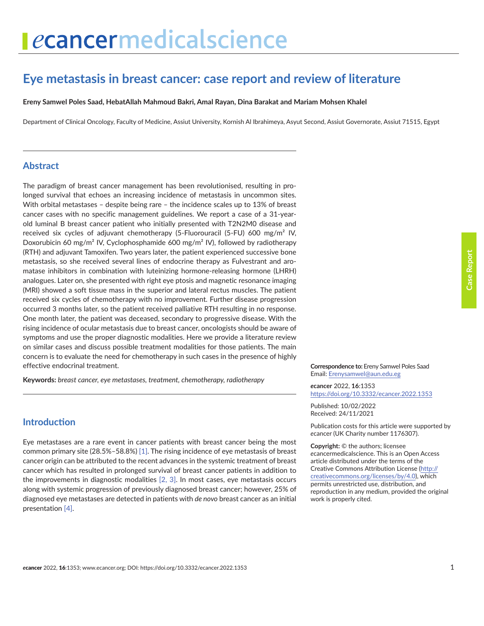# **Eye metastasis in breast cancer: case report and review of literature**

**Ereny Samwel Poles Saad, HebatAllah Mahmoud Bakri, Amal Rayan, Dina Barakat and Mariam Mohsen Khalel**

Department of Clinical Oncology, Faculty of Medicine, Assiut University, Kornish Al Ibrahimeya, Asyut Second, Assiut Governorate, Assiut 71515, Egypt

#### **Abstract**

The paradigm of breast cancer management has been revolutionised, resulting in prolonged survival that echoes an increasing incidence of metastasis in uncommon sites. With orbital metastases – despite being rare – the incidence scales up to 13% of breast cancer cases with no specific management guidelines. We report a case of a 31-yearold luminal B breast cancer patient who initially presented with T2N2M0 disease and received six cycles of adjuvant chemotherapy (5-Fluorouracil (5-FU) 600 mg/m² IV, Doxorubicin 60 mg/m² IV, Cyclophosphamide 600 mg/m² IV), followed by radiotherapy (RTH) and adjuvant Tamoxifen. Two years later, the patient experienced successive bone metastasis, so she received several lines of endocrine therapy as Fulvestrant and aromatase inhibitors in combination with luteinizing hormone-releasing hormone (LHRH) analogues. Later on, she presented with right eye ptosis and magnetic resonance imaging (MRI) showed a soft tissue mass in the superior and lateral rectus muscles. The patient received six cycles of chemotherapy with no improvement. Further disease progression occurred 3 months later, so the patient received palliative RTH resulting in no response. One month later, the patient was deceased, secondary to progressive disease. With the rising incidence of ocular metastasis due to breast cancer, oncologists should be aware of symptoms and use the proper diagnostic modalities. Here we provide a literature review on similar cases and discuss possible treatment modalities for those patients. The main concern is to evaluate the need for chemotherapy in such cases in the presence of highly effective endocrinal treatment.

**Keywords:** *breast cancer, eye metastases, treatment, chemotherapy, radiotherapy*

#### **Introduction**

Eye metastases are a rare event in cancer patients with breast cancer being the most common primary site (28.5%–58.8%) [1]. The rising incidence of eye metastasis of breast cancer origin can be attributed to the recent advances in the systemic treatment of breast cancer which has resulted in prolonged survival of breast cancer patients in addition to the improvements in diagnostic modalities [2, 3]. In most cases, eye metastasis occurs along with systemic progression of previously diagnosed breast cancer; however, 25% of diagnosed eye metastases are detected in patients with *de novo* breast cancer as an initial presentation [4].

**Correspondence to:** Ereny Samwel Poles Saad Email: [Erenysamwel@aun.edu.eg](mailto:Erenysamwel@aun.edu.eg)

*e***cancer** 2022, **16**:1353 <https://doi.org/10.3332/ecancer.2022.1353>

Published: 10/02/2022 Received: 24/11/2021

Publication costs for this article were supported by *e*cancer (UK Charity number 1176307).

**Copyright:** © the authors; licensee *e*cancermedicalscience. This is an Open Access article distributed under the terms of the Creative Commons Attribution License (http:// creativecommons.org/licenses/by/4.0), which permits unrestricted use, distribution, and reproduction in any medium, provided the original work is properly cited.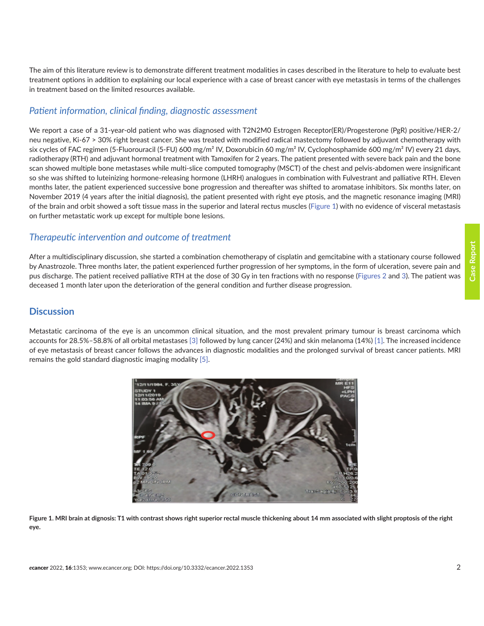**Case Report**

Case Report

The aim of this literature review is to demonstrate different treatment modalities in cases described in the literature to help to evaluate best treatment options in addition to explaining our local experience with a case of breast cancer with eye metastasis in terms of the challenges in treatment based on the limited resources available.

# *Patient information, clinical finding, diagnostic assessment*

We report a case of a 31-year-old patient who was diagnosed with T2N2M0 Estrogen Receptor(ER)/Progesterone (PgR) positive/HER-2/ neu negative, Ki-67 > 30% right breast cancer. She was treated with modified radical mastectomy followed by adjuvant chemotherapy with six cycles of FAC regimen (5-Fluorouracil (5-FU) 600 mg/m<sup>2</sup> IV, Doxorubicin 60 mg/m<sup>2</sup> IV, Cyclophosphamide 600 mg/m<sup>2</sup> IV) every 21 days, radiotherapy (RTH) and adjuvant hormonal treatment with Tamoxifen for 2 years. The patient presented with severe back pain and the bone scan showed multiple bone metastases while multi-slice computed tomography (MSCT) of the chest and pelvis-abdomen were insignificant so she was shifted to luteinizing hormone-releasing hormone (LHRH) analogues in combination with Fulvestrant and palliative RTH. Eleven months later, the patient experienced successive bone progression and thereafter was shifted to aromatase inhibitors. Six months later, on November 2019 (4 years after the initial diagnosis), the patient presented with right eye ptosis, and the magnetic resonance imaging (MRI) of the brain and orbit showed a soft tissue mass in the superior and lateral rectus muscles (Figure 1) with no evidence of visceral metastasis on further metastatic work up except for multiple bone lesions.

# *Therapeutic intervention and outcome of treatment*

After a multidisciplinary discussion, she started a combination chemotherapy of cisplatin and gemcitabine with a stationary course followed by Anastrozole. Three months later, the patient experienced further progression of her symptoms, in the form of ulceration, severe pain and pus discharge. The patient received palliative RTH at the dose of 30 Gy in ten fractions with no response ([Figures 2](#page-2-0) and [3\)](#page-2-0). The patient was deceased 1 month later upon the deterioration of the general condition and further disease progression.

## **Discussion**

Metastatic carcinoma of the eye is an uncommon clinical situation, and the most prevalent primary tumour is breast carcinoma which accounts for 28.5%–58.8% of all orbital metastases [3] followed by lung cancer (24%) and skin melanoma (14%) [1]. The increased incidence of eye metastasis of breast cancer follows the advances in diagnostic modalities and the prolonged survival of breast cancer patients. MRI remains the gold standard diagnostic imaging modality [5].



**Figure 1. MRI brain at dignosis: T1 with contrast shows right superior rectal muscle thickening about 14 mm associated with slight proptosis of the right eye.**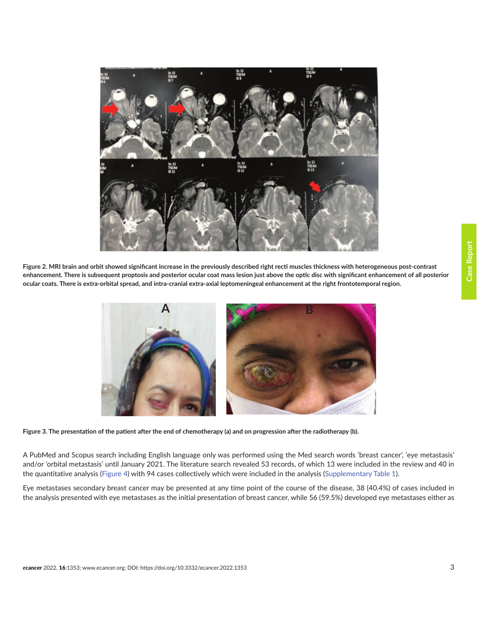<span id="page-2-0"></span>

**Figure 2. MRI brain and orbit showed significant increase in the previously described right recti muscles thickness with heterogeneous post-contrast enhancement. There is subsequent proptosis and posterior ocular coat mass lesion just above the optic disc with significant enhancement of all posterior ocular coats. There is extra-orbital spread, and intra-cranial extra-axial leptomeningeal enhancement at the right frontotemporal region.**



**Figure 3. The presentation of the patient after the end of chemotherapy (a) and on progression after the radiotherapy (b).**

A PubMed and Scopus search including English language only was performed using the Med search words 'breast cancer', 'eye metastasis' and/or 'orbital metastasis' until January 2021. The literature search revealed 53 records, of which 13 were included in the review and 40 in the quantitative analysis [\(Figure 4](#page-3-0)) with 94 cases collectively which were included in the analysis [\(Supplementary Table 1\)](#page-8-0).

Eye metastases secondary breast cancer may be presented at any time point of the course of the disease, 38 (40.4%) of cases included in the analysis presented with eye metastases as the initial presentation of breast cancer, while 56 (59.5%) developed eye metastases either as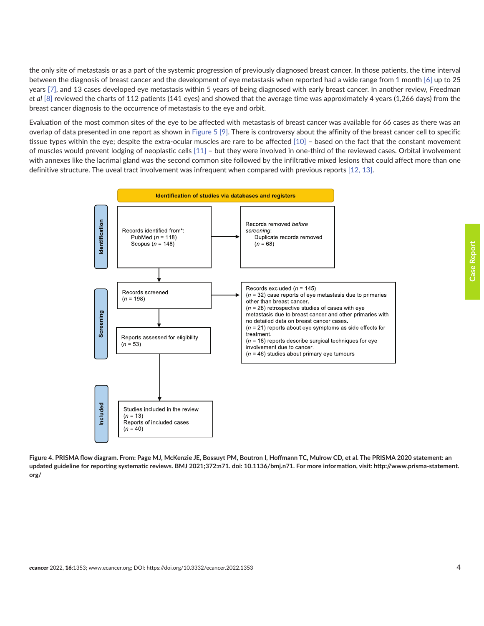<span id="page-3-0"></span>the only site of metastasis or as a part of the systemic progression of previously diagnosed breast cancer. In those patients, the time interval between the diagnosis of breast cancer and the development of eye metastasis when reported had a wide range from 1 month [6] up to 25 years [7], and 13 cases developed eye metastasis within 5 years of being diagnosed with early breast cancer. In another review, Freedman *et al* [\[8\]](#page-6-0) reviewed the charts of 112 patients (141 eyes) and showed that the average time was approximately 4 years (1,266 days) from the breast cancer diagnosis to the occurrence of metastasis to the eye and orbit.

Evaluation of the most common sites of the eye to be affected with metastasis of breast cancer was available for 66 cases as there was an overlap of data presented in one report as shown in [Figure 5](#page-4-0) [\[9\].](#page-6-0) There is controversy about the affinity of the breast cancer cell to specific tissue types within the eye; despite the extra-ocular muscles are rare to be affected [10] – based on the fact that the constant movement of muscles would prevent lodging of neoplastic cells [11] – but they were involved in one-third of the reviewed cases. Orbital involvement with annexes like the lacrimal gland was the second common site followed by the infiltrative mixed lesions that could affect more than one definitive structure. The uveal tract involvement was infrequent when compared with previous reports [12, 13].



**Figure 4. PRISMA flow diagram. From: Page MJ, McKenzie JE, Bossuyt PM, Boutron I, Hoffmann TC, Mulrow CD, et al. The PRISMA 2020 statement: an updated guideline for reporting systematic reviews. BMJ 2021;372:n71. doi: 10.1136/bmj.n71. For more information, visit: http://www.prisma-statement. org/**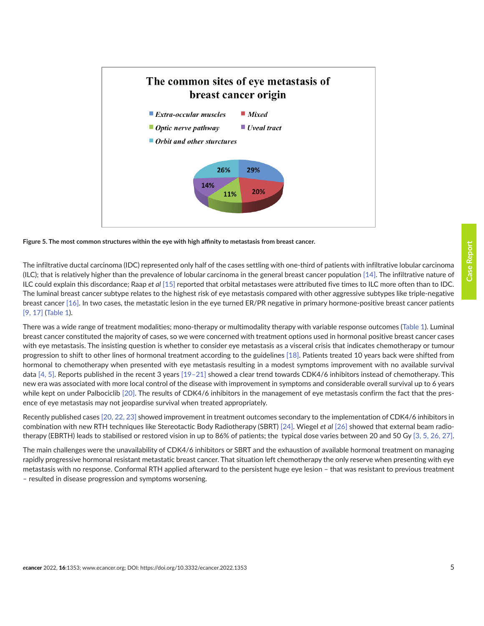<span id="page-4-0"></span>

#### **Figure 5. The most common structures within the eye with high affinity to metastasis from breast cancer.**

The infiltrative ductal carcinoma (IDC) represented only half of the cases settling with one-third of patients with infiltrative lobular carcinoma (ILC); that is relatively higher than the prevalence of lobular carcinoma in the general breast cancer population [14]. The infiltrative nature of ILC could explain this discordance; Raap *et al* [\[15\]](#page-7-0) reported that orbital metastases were attributed five times to ILC more often than to IDC. The luminal breast cancer subtype relates to the highest risk of eye metastasis compared with other aggressive subtypes like triple-negative breast cancer [16]. In two cases, the metastatic lesion in the eye turned ER/PR negative in primary hormone-positive breast cancer patients [\[9,](#page-6-0) 17] [\(Table 1](#page-5-0)).

There was a wide range of treatment modalities; mono-therapy or multimodality therapy with variable response outcomes ([Table 1\)](#page-5-0). Luminal breast cancer constituted the majority of cases, so we were concerned with treatment options used in hormonal positive breast cancer cases with eye metastasis. The insisting question is whether to consider eye metastasis as a visceral crisis that indicates chemotherapy or tumour progression to shift to other lines of hormonal treatment according to the guidelines [18]. Patients treated 10 years back were shifted from hormonal to chemotherapy when presented with eye metastasis resulting in a modest symptoms improvement with no available survival data [4, 5]. Reports published in the recent 3 years [19–21] showed a clear trend towards CDK4/6 inhibitors instead of chemotherapy. This new era was associated with more local control of the disease with improvement in symptoms and considerable overall survival up to 6 years while kept on under Palbociclib [20]. The results of CDK4/6 inhibitors in the management of eye metastasis confirm the fact that the presence of eye metastasis may not jeopardise survival when treated appropriately.

Recently published cases [20, 22, [23\]](#page-7-0) showed improvement in treatment outcomes secondary to the implementation of CDK4/6 inhibitors in combination with new RTH techniques like Stereotactic Body Radiotherapy (SBRT) [24]. Wiegel *et al* [\[26\]](#page-7-0) showed that external beam radiotherapy (EBRTH) leads to stabilised or restored vision in up to 86% of patients; the typical dose varies between 20 and 50 Gy [3, 5, 26, 27].

The main challenges were the unavailability of CDK4/6 inhibitors or SBRT and the exhaustion of available hormonal treatment on managing rapidly progressive hormonal resistant metastatic breast cancer. That situation left chemotherapy the only reserve when presenting with eye metastasis with no response. Conformal RTH applied afterward to the persistent huge eye lesion – that was resistant to previous treatment – resulted in disease progression and symptoms worsening.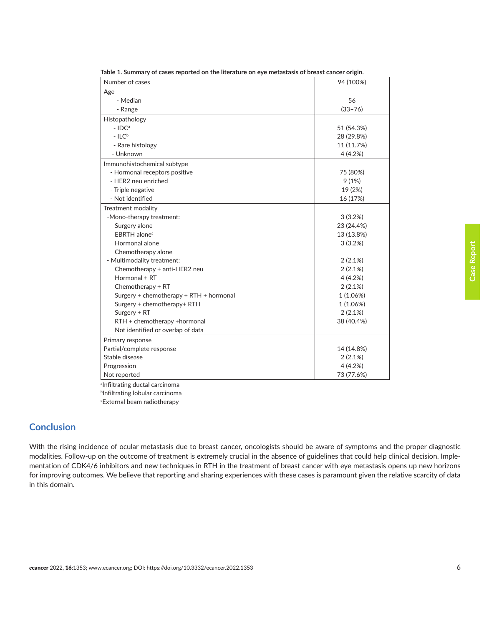| Number of cases                         | 94 (100%)   |
|-----------------------------------------|-------------|
| Age                                     |             |
| - Median                                | 56          |
| - Range                                 | $(33 - 76)$ |
| Histopathology                          |             |
| $-$ IDC <sup>a</sup>                    | 51 (54.3%)  |
| $-$ ILC <sup>b</sup>                    | 28 (29.8%)  |
| - Rare histology                        | 11 (11.7%)  |
| - Unknown                               | 4(4.2%)     |
| Immunohistochemical subtype             |             |
| - Hormonal receptors positive           | 75 (80%)    |
| - HER2 neu enriched                     | 9(1%)       |
| - Triple negative                       | 19 (2%)     |
| - Not identified                        | 16 (17%)    |
| Treatment modality                      |             |
| -Mono-therapy treatment:                | 3(3.2%)     |
| Surgery alone                           | 23 (24.4%)  |
| EBRTH alone <sup>c</sup>                | 13 (13.8%)  |
| Hormonal alone                          | 3(3.2%)     |
| Chemotherapy alone                      |             |
| - Multimodality treatment:              | 2(2.1%)     |
| Chemotherapy + anti-HER2 neu            | 2(2.1%)     |
| Hormonal + RT                           | 4(4.2%)     |
| Chemotherapy + RT                       | 2(2.1%)     |
| Surgery + chemotherapy + RTH + hormonal | 1(1.06%)    |
| Surgery + chemotherapy+ RTH             | 1 (1.06%)   |
| Surgery + RT                            | 2(2.1%)     |
| RTH + chemotherapy +hormonal            | 38 (40.4%)  |
| Not identified or overlap of data       |             |
| Primary response                        |             |
| Partial/complete response               | 14 (14.8%)  |
| Stable disease                          | 2(2.1%)     |
| Progression                             | 4(4.2%)     |
| Not reported                            | 73 (77.6%)  |

<span id="page-5-0"></span>**Table 1. Summary of cases reported on the literature on eye metastasis of breast cancer origin.**

a Infiltrating ductal carcinoma b Infiltrating lobular carcinoma

c External beam radiotherapy

#### **Conclusion**

With the rising incidence of ocular metastasis due to breast cancer, oncologists should be aware of symptoms and the proper diagnostic modalities. Follow-up on the outcome of treatment is extremely crucial in the absence of guidelines that could help clinical decision. Implementation of CDK4/6 inhibitors and new techniques in RTH in the treatment of breast cancer with eye metastasis opens up new horizons for improving outcomes. We believe that reporting and sharing experiences with these cases is paramount given the relative scarcity of data in this domain.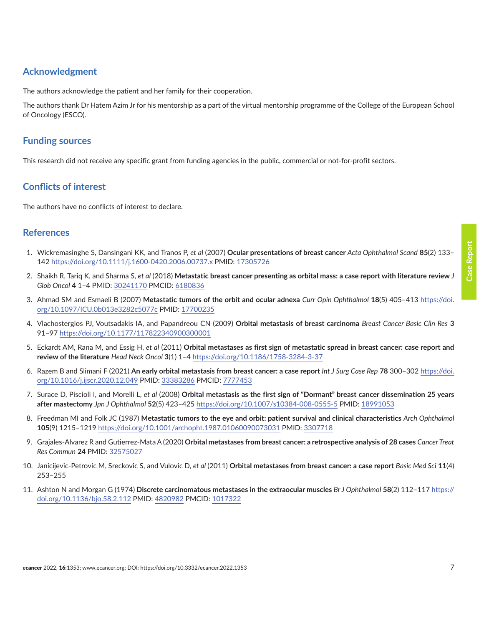### <span id="page-6-0"></span>**Acknowledgment**

The authors acknowledge the patient and her family for their cooperation.

The authors thank Dr Hatem Azim Jr for his mentorship as a part of the virtual mentorship programme of the College of the European School of Oncology (ESCO).

#### **Funding sources**

This research did not receive any specific grant from funding agencies in the public, commercial or not-for-profit sectors.

#### **Conflicts of interest**

The authors have no conflicts of interest to declare.

#### **References**

- 1. Wickremasinghe S, Dansingani KK, and Tranos P, *et al* (2007) **Ocular presentations of breast cancer** *Acta Ophthalmol Scand* **85**(2) 133– 142 <https://doi.org/10.1111/j.1600-0420.2006.00737.x> PMID: [17305726](http://www.ncbi.nlm.nih.gov/pubmed/17305726)
- 2. Shaikh R, Tariq K, and Sharma S, *et al* (2018) **Metastatic breast cancer presenting as orbital mass: a case report with literature review** *J Glob Oncol* **4** 1–4 PMID: [30241170](http://www.ncbi.nlm.nih.gov/pubmed/30241170) PMCID: [6180836](http://www.ncbi.nlm.nih.gov/pmc/articles/PMC6180836)
- 3. Ahmad SM and Esmaeli B (2007) **Metastatic tumors of the orbit and ocular adnexa** *Curr Opin Ophthalmol* **18**(5) 405–413 [https://doi.](https://doi.org/10.1097/ICU.0b013e3282c5077c) [org/10.1097/ICU.0b013e3282c5077c](https://doi.org/10.1097/ICU.0b013e3282c5077c) PMID: [17700235](http://www.ncbi.nlm.nih.gov/pubmed/17700235)
- 4. Vlachostergios PJ, Voutsadakis IA, and Papandreou CN (2009) **Orbital metastasis of breast carcinoma** *Breast Cancer Basic Clin Res* **3** 91–97<https://doi.org/10.1177/117822340900300001>
- 5. Eckardt AM, Rana M, and Essig H, *et al* (2011) **Orbital metastases as first sign of metastatic spread in breast cancer: case report and review of the literature** *Head Neck Oncol* **3**(1) 1–4 <https://doi.org/10.1186/1758-3284-3-37>
- 6. Razem B and Slimani F (2021) **An early orbital metastasis from breast cancer: a case report** *Int J Surg Case Rep* **78** 300–302 [https://doi.](https://doi.org/10.1016/j.ijscr.2020.12.049) [org/10.1016/j.ijscr.2020.12.049](https://doi.org/10.1016/j.ijscr.2020.12.049) PMID: [33383286](http://www.ncbi.nlm.nih.gov/pubmed/33383286) PMCID: [7777453](http://www.ncbi.nlm.nih.gov/pmc/articles/PMC7777453)
- 7. Surace D, Piscioli I, and Morelli L, *et al* (2008) **Orbital metastasis as the first sign of "Dormant" breast cancer dissemination 25 years after mastectomy** *Jpn J Ophthalmol* **52**(5) 423–425 <https://doi.org/10.1007/s10384-008-0555-5> PMID: [18991053](http://www.ncbi.nlm.nih.gov/pubmed/18991053)
- 8. Freedman MI and Folk JC (1987) **Metastatic tumors to the eye and orbit: patient survival and clinical characteristics** *Arch Ophthalmol* **105**(9) 1215–1219<https://doi.org/10.1001/archopht.1987.01060090073031>PMID: [3307718](http://www.ncbi.nlm.nih.gov/pubmed/3307718)
- 9. Grajales-Alvarez R and Gutierrez-Mata A (2020) **Orbital metastases from breast cancer: a retrospective analysis of 28 cases** *Cancer Treat Res Commun* **24** PMID: [32575027](http://www.ncbi.nlm.nih.gov/pubmed/32575027)
- 10. Janicijevic-Petrovic M, Sreckovic S, and Vulovic D, *et al* (2011) **Orbital metastases from breast cancer: a case report** *Basic Med Sci* **11**(4) 253–255
- 11. Ashton N and Morgan G (1974) **Discrete carcinomatous metastases in the extraocular muscles** *Br J Ophthalmol* **58**(2) 112–117 [https://](https://doi.org/10.1136/bjo.58.2.112) [doi.org/10.1136/bjo.58.2.112](https://doi.org/10.1136/bjo.58.2.112) PMID: [4820982](http://www.ncbi.nlm.nih.gov/pubmed/4820982) PMCID: [1017322](http://www.ncbi.nlm.nih.gov/pmc/articles/PMC1017322)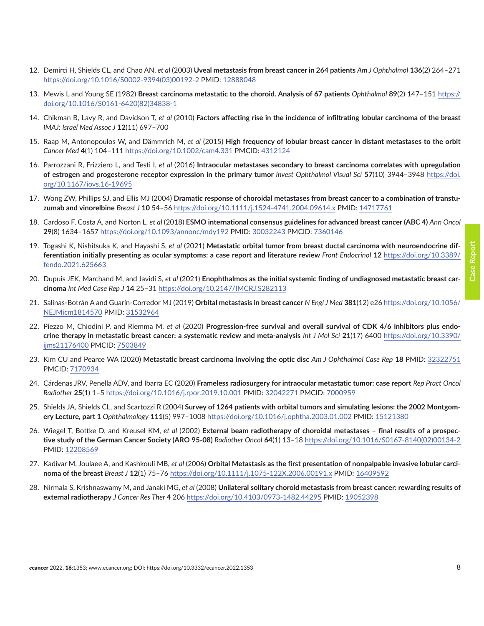**Case Report Case Report** 

- <span id="page-7-0"></span>12. Demirci H, Shields CL, and Chao AN, *et al* (2003) **Uveal metastasis from breast cancer in 264 patients** *Am J Ophthalmol* **136**(2) 264–271 [https://doi.org/10.1016/S0002-9394\(03\)00192-2](https://doi.org/10.1016/S0002-9394(03)00192-2) PMID: [12888048](http://www.ncbi.nlm.nih.gov/pubmed/12888048)
- 13. Mewis L and Young SE (1982) **Breast carcinoma metastatic to the choroid. Analysis of 67 patients** *Ophthalmol* **89**(2) 147–151 [https://](https://doi.org/10.1016/S0161-6420(82)34838-1) [doi.org/10.1016/S0161-6420\(82\)34838-1](https://doi.org/10.1016/S0161-6420(82)34838-1)
- 14. Chikman B, Lavy R, and Davidson T, *et al* (2010) **Factors affecting rise in the incidence of infiltrating lobular carcinoma of the breast**  *IMAJ: Israel Med Assoc J* **12**(11) 697–700
- 15. Raap M, Antonopoulos W, and Dämmrich M, *et al* (2015) **High frequency of lobular breast cancer in distant metastases to the orbit** *Cancer Med* **4**(1) 104–111 <https://doi.org/10.1002/cam4.331>PMCID: [4312124](http://www.ncbi.nlm.nih.gov/pmc/articles/PMC4312124)
- 16. Parrozzani R, Frizziero L, and Testi I, *et al* (2016) **Intraocular metastases secondary to breast carcinoma correlates with upregulation of estrogen and progesterone receptor expression in the primary tumor** *Invest Ophthalmol Visual Sci* **57**(10) 3944–3948 [https://doi.](https://doi.org/10.1167/iovs.16-19695) [org/10.1167/iovs.16-19695](https://doi.org/10.1167/iovs.16-19695)
- 17. Wong ZW, Phillips SJ, and Ellis MJ (2004) **Dramatic response of choroidal metastases from breast cancer to a combination of transtuzumab and vinorelbine** *Breast J* **10** 54–56<https://doi.org/10.1111/j.1524-4741.2004.09614.x>PMID: [14717761](http://www.ncbi.nlm.nih.gov/pubmed/14717761)
- 18. Cardoso F, Costa A, and Norton L, *et al* (2018) **ESMO international consensus guidelines for advanced breast cancer (ABC 4)** *Ann Oncol* **29**(8) 1634–1657<https://doi.org/10.1093/annonc/mdy192> PMID: [30032243](http://www.ncbi.nlm.nih.gov/pubmed/30032243) PMCID: [7360146](http://www.ncbi.nlm.nih.gov/pmc/articles/PMC7360146)
- 19. Togashi K, Nishitsuka K, and Hayashi S, *et al* (2021) **Metastatic orbital tumor from breast ductal carcinoma with neuroendocrine differentiation initially presenting as ocular symptoms: a case report and literature review** *Front Endocrinol* **12** [https://doi.org/10.3389/](https://doi.org/10.3389/fendo.2021.625663) [fendo.2021.625663](https://doi.org/10.3389/fendo.2021.625663)
- 20. Dupuis JEK, Marchand M, and Javidi S, *et al* (2021) **Enophthalmos as the initial systemic finding of undiagnosed metastatic breast carcinoma** *Int Med Case Rep J* **14** 25–31 <https://doi.org/10.2147/IMCRJ.S282113>
- 21. Salinas-Botrán A and Guarín-Corredor MJ (2019) **Orbital metastasis in breast cancer** *N Engl J Med* **381**(12) e26 [https://doi.org/10.1056/](https://doi.org/10.1056/NEJMicm1814570) [NEJMicm1814570](https://doi.org/10.1056/NEJMicm1814570) PMID: [31532964](http://www.ncbi.nlm.nih.gov/pubmed/31532964)
- 22. Piezzo M, Chiodini P, and Riemma M, *et al* (2020) **Progression-free survival and overall survival of CDK 4/6 inhibitors plus endocrine therapy in metastatic breast cancer: a systematic review and meta-analysis** *Int J Mol Sci* **21**(17) 6400 [https://doi.org/10.3390/](https://doi.org/10.3390/ijms21176400) [ijms21176400](https://doi.org/10.3390/ijms21176400) PMCID: [7503849](http://www.ncbi.nlm.nih.gov/pmc/articles/PMC7503849)
- 23. Kim CU and Pearce WA (2020) **Metastatic breast carcinoma involving the optic disc** *Am J Ophthalmol Case Rep* **18** PMID: [32322751](http://www.ncbi.nlm.nih.gov/pubmed/32322751) PMCID: [7170934](http://www.ncbi.nlm.nih.gov/pmc/articles/PMC7170934)
- 24. Cárdenas JRV, Penella ADV, and Ibarra EC (2020) **Frameless radiosurgery for intraocular metastatic tumor: case report** *Rep Pract Oncol Radiother* **25**(1) 1–5<https://doi.org/10.1016/j.rpor.2019.10.001>PMID: [32042271](http://www.ncbi.nlm.nih.gov/pubmed/32042271) PMCID: [7000959](http://www.ncbi.nlm.nih.gov/pmc/articles/PMC7000959)
- 25. Shields JA, Shields CL, and Scartozzi R (2004) **Survey of 1264 patients with orbital tumors and simulating lesions: the 2002 Montgomery Lecture, part 1** *Ophthalmology* **111**(5) 997–1008<https://doi.org/10.1016/j.ophtha.2003.01.002> PMID: [15121380](http://www.ncbi.nlm.nih.gov/pubmed/15121380)
- 26. Wiegel T, Bottke D, and Kreusel KM, *et al* (2002) **External beam radiotherapy of choroidal metastases final results of a prospective study of the German Cancer Society (ARO 95-08)** *Radiother Oncol* **64**(1) 13–18 [https://doi.org/10.1016/S0167-8140\(02\)00134-2](https://doi.org/10.1016/S0167-8140(02)00134-2) PMID: [12208569](http://www.ncbi.nlm.nih.gov/pubmed/12208569)
- 27. Kadivar M, Joulaee A, and Kashkouli MB, *et al* (2006) **Orbital Metastasis as the first presentation of nonpalpable invasive lobular carcinoma of the breast** *Breast J* **12**(1) 75–76<https://doi.org/10.1111/j.1075-122X.2006.00191.x> PMID: [16409592](http://www.ncbi.nlm.nih.gov/pubmed/16409592)
- 28. Nirmala S, Krishnaswamy M, and Janaki MG, *et al* (2008) **Unilateral solitary choroid metastasis from breast cancer: rewarding results of external radiotherapy** *J Cancer Res Ther* **4** 206<https://doi.org/10.4103/0973-1482.44295> PMID: [19052398](http://www.ncbi.nlm.nih.gov/pubmed/19052398)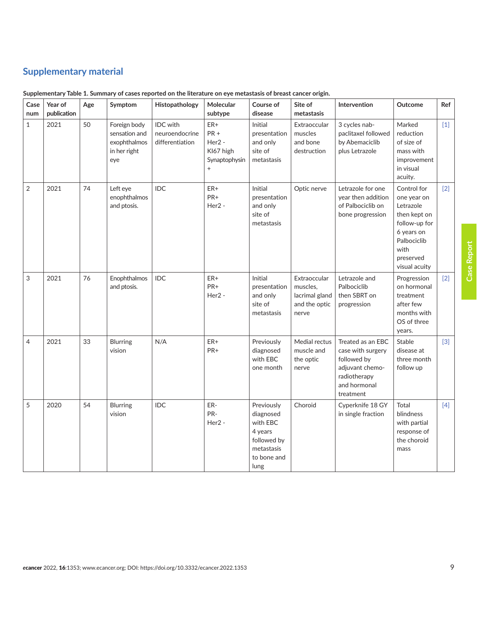# <span id="page-8-0"></span>**Supplementary material**

| Case<br>num    | Year of<br>publication | Age | Symptom                                                              | Histopathology                                       | Molecular<br>subtype                                                        | Course of<br>disease                                                                               | Site of<br>metastasis                                                | Intervention                                                                                                          | Outcome                                                                                                                                     | Ref   |
|----------------|------------------------|-----|----------------------------------------------------------------------|------------------------------------------------------|-----------------------------------------------------------------------------|----------------------------------------------------------------------------------------------------|----------------------------------------------------------------------|-----------------------------------------------------------------------------------------------------------------------|---------------------------------------------------------------------------------------------------------------------------------------------|-------|
| $\mathbf{1}$   | 2021                   | 50  | Foreign body<br>sensation and<br>exophthalmos<br>in her right<br>eye | <b>IDC</b> with<br>neuroendocrine<br>differentiation | ER+<br>PR+<br>Her <sub>2</sub> -<br>KI67 high<br>Synaptophysin<br>$\ddot{}$ | Initial<br>presentation<br>and only<br>site of<br>metastasis                                       | Extraoccular<br>muscles<br>and bone<br>destruction                   | 3 cycles nab-<br>paclitaxel followed<br>by Abemaciclib<br>plus Letrazole                                              | Marked<br>reduction<br>of size of<br>mass with<br>improvement<br>in visual<br>acuity.                                                       | $[1]$ |
| $\overline{2}$ | 2021                   | 74  | Left eye<br>enophthalmos<br>and ptosis.                              | IDC                                                  | $ER+$<br>PR+<br>Her <sub>2</sub> -                                          | Initial<br>presentation<br>and only<br>site of<br>metastasis                                       | Optic nerve                                                          | Letrazole for one<br>year then addition<br>of Palbociclib on<br>bone progression                                      | Control for<br>one year on<br>Letrazole<br>then kept on<br>follow-up for<br>6 years on<br>Palbociclib<br>with<br>preserved<br>visual acuity | $[2]$ |
| 3              | 2021                   | 76  | Enophthalmos<br>and ptosis.                                          | IDC                                                  | ER+<br>PR+<br>Her <sub>2</sub> -                                            | Initial<br>presentation<br>and only<br>site of<br>metastasis                                       | Extraoccular<br>muscles,<br>lacrimal gland<br>and the optic<br>nerve | Letrazole and<br>Palbociclib<br>then SBRT on<br>progression                                                           | Progression<br>on hormonal<br>treatment<br>after few<br>months with<br>OS of three<br>years.                                                | $[2]$ |
| 4              | 2021                   | 33  | Blurring<br>vision                                                   | N/A                                                  | ER+<br>PR+                                                                  | Previously<br>diagnosed<br>with EBC<br>one month                                                   | Medial rectus<br>muscle and<br>the optic<br>nerve                    | Treated as an EBC<br>case with surgery<br>followed by<br>adjuvant chemo-<br>radiotherapy<br>and hormonal<br>treatment | Stable<br>disease at<br>three month<br>follow up                                                                                            | $[3]$ |
| 5              | 2020                   | 54  | Blurring<br>vision                                                   | IDC                                                  | ER-<br>PR-<br>Her <sub>2</sub> -                                            | Previously<br>diagnosed<br>with EBC<br>4 years<br>followed by<br>metastasis<br>to bone and<br>lung | Choroid                                                              | Cyperknife 18 GY<br>in single fraction                                                                                | Total<br>blindness<br>with partial<br>response of<br>the choroid<br>mass                                                                    | $[4]$ |

|  |  |  | Supplementary Table 1. Summary of cases reported on the literature on eye metastasis of breast cancer origin. |
|--|--|--|---------------------------------------------------------------------------------------------------------------|
|  |  |  |                                                                                                               |
|  |  |  |                                                                                                               |

**Case Report Case Report**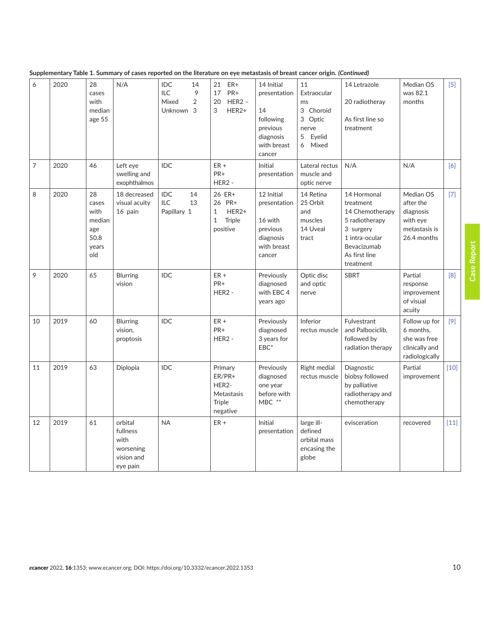|  |  |  | Supplementary Table 1. Summary of cases reported on the literature on eye metastasis of breast cancer origin. (Continued) |
|--|--|--|---------------------------------------------------------------------------------------------------------------------------|
|--|--|--|---------------------------------------------------------------------------------------------------------------------------|

| 6              | 2020 | 28<br>cases<br>with<br>median<br>age 55                      | N/A                                                                | <b>IDC</b><br>14<br>9<br><b>ILC</b><br>$\overline{2}$<br>Mixed<br>Unknown 3 | ER+<br>21<br>PR+<br>17<br>$HER2 -$<br>20<br>3<br>HER2+                          | 14 Initial<br>presentation<br>14<br>following<br>previous<br>diagnosis<br>with breast<br>cancer | 11<br>Extraocular<br>ms<br>3 Choroid<br>Optic<br>3<br>nerve<br>5<br>Eyelid<br>Mixed<br>6 | 14 Letrazole<br>20 radiotheray<br>As first line so<br>treatment                                                                           | Median OS<br>was 82.1<br>months                                                 | $[5]$  |
|----------------|------|--------------------------------------------------------------|--------------------------------------------------------------------|-----------------------------------------------------------------------------|---------------------------------------------------------------------------------|-------------------------------------------------------------------------------------------------|------------------------------------------------------------------------------------------|-------------------------------------------------------------------------------------------------------------------------------------------|---------------------------------------------------------------------------------|--------|
| $\overline{7}$ | 2020 | 46                                                           | Left eye<br>swelling and<br>exophthalmos                           | <b>IDC</b>                                                                  | $ER +$<br>PR+<br>HER <sub>2</sub> -                                             | Initial<br>presentation                                                                         | Lateral rectus<br>muscle and<br>optic nerve                                              | N/A                                                                                                                                       | N/A                                                                             | [6]    |
| 8              | 2020 | 28<br>cases<br>with<br>median<br>age<br>50.8<br>years<br>old | 18 decreased<br>visual acuity<br>16 pain                           | IDC<br>14<br>ILC<br>13<br>Papillary 1                                       | 26 ER+<br>26 PR+<br>HER2+<br>$\mathbf{1}$<br>$\mathbf{1}$<br>Triple<br>positive | 12 Initial<br>presentation<br>16 with<br>previous<br>diagnosis<br>with breast<br>cancer         | 14 Retina<br>25 Orbit<br>and<br>muscles<br>14 Uveal<br>tract                             | 14 Hormonal<br>treatment<br>14 Chemotherapy<br>5 radiotherapy<br>3 surgery<br>1 intra-ocular<br>Bevacizumab<br>As first line<br>treatment | Median OS<br>after the<br>diagnosis<br>with eye<br>metastasis is<br>26.4 months | $[7]$  |
| 9              | 2020 | 65                                                           | <b>Blurring</b><br>vision                                          | IDC                                                                         | $ER +$<br>PR+<br>HER <sub>2</sub> -                                             | Previously<br>diagnosed<br>with EBC 4<br>years ago                                              | Optic disc<br>and optic<br>nerve                                                         | <b>SBRT</b>                                                                                                                               | Partial<br>response<br>improvement<br>of visual<br>acuity                       | [8]    |
| 10             | 2019 | 60                                                           | <b>Blurring</b><br>vision,<br>proptosis                            | IDC                                                                         | $ER +$<br>PR+<br>HER <sub>2</sub> -                                             | Previously<br>diagnosed<br>3 years for<br>$EBC*$                                                | Inferior<br>rectus muscle                                                                | Fulvestrant<br>and Palbociclib,<br>followed by<br>radiation therapy                                                                       | Follow up for<br>6 months,<br>she was free<br>clinically and<br>radiologically  | $[9]$  |
| 11             | 2019 | 63                                                           | Diplopia                                                           | <b>IDC</b>                                                                  | Primary<br>ER/PR+<br>HER2-<br>Metastasis<br><b>Triple</b><br>negative           | Previously<br>diagnosed<br>one year<br>before with<br>MBC **                                    | <b>Right medial</b><br>rectus muscle                                                     | Diagnostic<br>biobsy followed<br>by palliative<br>radiotherapy and<br>chemotherapy                                                        | Partial<br>improvement                                                          | $[10]$ |
| 12             | 2019 | 61                                                           | orbital<br>fullness<br>with<br>worsening<br>vision and<br>eye pain | <b>NA</b>                                                                   | $ER +$                                                                          | Initial<br>presentation                                                                         | large ill-<br>defined<br>orbital mass<br>encasing the<br>globe                           | evisceration                                                                                                                              | recovered                                                                       | $[11]$ |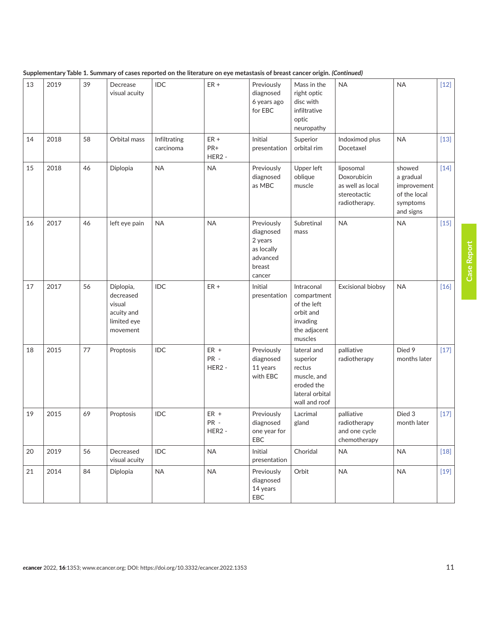| 13 | 2019 | 39 | Decrease<br>visual acuity                                                 | IDC                       | $ER +$                               | Previously<br>diagnosed<br>6 years ago<br>for EBC                                | Mass in the<br>right optic<br>disc with<br>infiltrative<br>optic<br>neuropathy                     | <b>NA</b>                                                                     | <b>NA</b>                                                                   | $[12]$ |
|----|------|----|---------------------------------------------------------------------------|---------------------------|--------------------------------------|----------------------------------------------------------------------------------|----------------------------------------------------------------------------------------------------|-------------------------------------------------------------------------------|-----------------------------------------------------------------------------|--------|
| 14 | 2018 | 58 | Orbital mass                                                              | Infiltrating<br>carcinoma | $ER +$<br>PR+<br>HER <sub>2</sub> -  | Initial<br>presentation                                                          | Superior<br>orbital rim                                                                            | Indoximod plus<br>Docetaxel                                                   | <b>NA</b>                                                                   | $[13]$ |
| 15 | 2018 | 46 | Diplopia                                                                  | <b>NA</b>                 | <b>NA</b>                            | Previously<br>diagnosed<br>as MBC                                                | Upper left<br>oblique<br>muscle                                                                    | liposomal<br>Doxorubicin<br>as well as local<br>stereotactic<br>radiotherapy. | showed<br>a gradual<br>improvement<br>of the local<br>symptoms<br>and signs | $[14]$ |
| 16 | 2017 | 46 | left eye pain                                                             | <b>NA</b>                 | <b>NA</b>                            | Previously<br>diagnosed<br>2 years<br>as locally<br>advanced<br>breast<br>cancer | Subretinal<br>mass                                                                                 | <b>NA</b>                                                                     | <b>NA</b>                                                                   | $[15]$ |
| 17 | 2017 | 56 | Diplopia,<br>decreased<br>visual<br>acuity and<br>limited eye<br>movement | <b>IDC</b>                | $ER +$                               | Initial<br>presentation                                                          | Intraconal<br>compartment<br>of the left<br>orbit and<br>invading<br>the adjacent<br>muscles       | Excisional biobsy                                                             | <b>NA</b>                                                                   | $[16]$ |
| 18 | 2015 | 77 | Proptosis                                                                 | IDC                       | $ER +$<br>PR -<br>HER <sub>2</sub> - | Previously<br>diagnosed<br>11 years<br>with EBC                                  | lateral and<br>superior<br>rectus<br>muscle, and<br>eroded the<br>lateral orbital<br>wall and roof | palliative<br>radiotherapy                                                    | Died 9<br>months later                                                      | $[17]$ |
| 19 | 2015 | 69 | Proptosis                                                                 | IDC                       | $ER +$<br>PR -<br>HER <sub>2</sub> - | Previously<br>diagnosed<br>one year for<br>EBC                                   | Lacrimal<br>gland                                                                                  | palliative<br>radiotherapy<br>and one cycle<br>chemotherapy                   | Died 3<br>month later                                                       | $[17]$ |
| 20 | 2019 | 56 | Decreased<br>visual acuity                                                | IDC                       | $\sf NA$                             | Initial<br>presentation                                                          | Choridal                                                                                           | <b>NA</b>                                                                     | NA                                                                          | $[18]$ |
| 21 | 2014 | 84 | Diplopia                                                                  | NA                        | NA                                   | Previously<br>diagnosed<br>14 years<br>EBC                                       | Orbit                                                                                              | <b>NA</b>                                                                     | <b>NA</b>                                                                   | $[19]$ |

|  | Supplementary Table 1. Summary of cases reported on the literature on eye metastasis of breast cancer origin. (Continued) |
|--|---------------------------------------------------------------------------------------------------------------------------|
|  |                                                                                                                           |
|  |                                                                                                                           |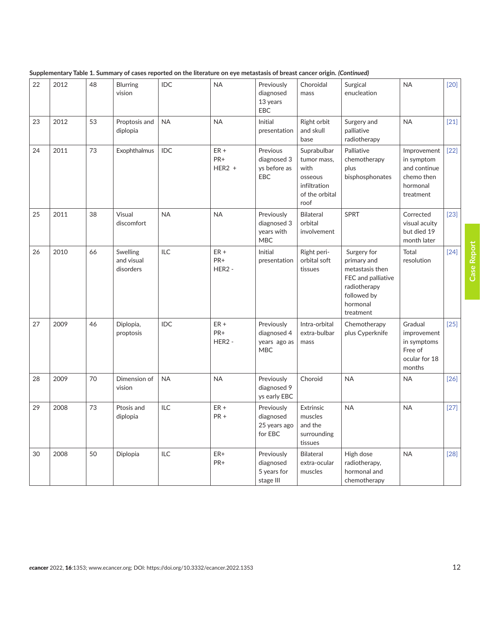| 22 | 2012 | 48 | Blurring<br>vision                  | IDC        | <b>NA</b>                           | Previously<br>diagnosed<br>13 years<br>EBC              | Choroidal<br>mass                                                                       | Surgical<br>enucleation                                                                                                     | <b>NA</b>                                                                        | $[20]$ |
|----|------|----|-------------------------------------|------------|-------------------------------------|---------------------------------------------------------|-----------------------------------------------------------------------------------------|-----------------------------------------------------------------------------------------------------------------------------|----------------------------------------------------------------------------------|--------|
| 23 | 2012 | 53 | Proptosis and<br>diplopia           | <b>NA</b>  | <b>NA</b>                           | Initial<br>presentation                                 | Right orbit<br>and skull<br>base                                                        | Surgery and<br>palliative<br>radiotherapy                                                                                   | <b>NA</b>                                                                        | $[21]$ |
| 24 | 2011 | 73 | Exophthalmus                        | <b>IDC</b> | $ER +$<br>PR+<br>$HER2 +$           | Previous<br>diagnosed 3<br>ys before as<br><b>EBC</b>   | Suprabulbar<br>tumor mass,<br>with<br>osseous<br>infiltration<br>of the orbital<br>roof | Palliative<br>chemotherapy<br>plus<br>bisphosphonates                                                                       | Improvement<br>in symptom<br>and continue<br>chemo then<br>hormonal<br>treatment | [22]   |
| 25 | 2011 | 38 | Visual<br>discomfort                | <b>NA</b>  | <b>NA</b>                           | Previously<br>diagnosed 3<br>years with<br>MBC          | <b>Bilateral</b><br>orbital<br>involvement                                              | <b>SPRT</b>                                                                                                                 | Corrected<br>visual acuity<br>but died 19<br>month later                         | $[23]$ |
| 26 | 2010 | 66 | Swelling<br>and visual<br>disorders | <b>ILC</b> | $ER +$<br>PR+<br>HER <sub>2</sub> - | Initial<br>presentation                                 | Right peri-<br>orbital soft<br>tissues                                                  | Surgery for<br>primary and<br>metastasis then<br>FEC and palliative<br>radiotherapy<br>followed by<br>hormonal<br>treatment | Total<br>resolution                                                              | $[24]$ |
| 27 | 2009 | 46 | Diplopia,<br>proptosis              | IDC        | $ER +$<br>PR+<br>HER <sub>2</sub> - | Previously<br>diagnosed 4<br>years ago as<br><b>MBC</b> | Intra-orbital<br>extra-bulbar<br>mass                                                   | Chemotherapy<br>plus Cyperknife                                                                                             | Gradual<br>improvement<br>in symptoms<br>Free of<br>ocular for 18<br>months      | $[25]$ |
| 28 | 2009 | 70 | Dimension of<br>vision              | <b>NA</b>  | <b>NA</b>                           | Previously<br>diagnosed 9<br>ys early EBC               | Choroid                                                                                 | <b>NA</b>                                                                                                                   | <b>NA</b>                                                                        | $[26]$ |
| 29 | 2008 | 73 | Ptosis and<br>diplopia              | ILC        | $ER +$<br>$PR +$                    | Previously<br>diagnosed<br>25 years ago<br>for EBC      | Extrinsic<br>muscles<br>and the<br>surrounding<br>tissues                               | <b>NA</b>                                                                                                                   | <b>NA</b>                                                                        | $[27]$ |
| 30 | 2008 | 50 | Diplopia                            | ILC        | ER+<br>PR+                          | Previously<br>diagnosed<br>5 years for<br>stage III     | <b>Bilateral</b><br>extra-ocular<br>muscles                                             | High dose<br>radiotherapy,<br>hormonal and<br>chemotherapy                                                                  | <b>NA</b>                                                                        | $[28]$ |

| Supplementary Table 1. Summary of cases reported on the literature on eye metastasis of breast cancer origin. (Continued) |  |
|---------------------------------------------------------------------------------------------------------------------------|--|
|---------------------------------------------------------------------------------------------------------------------------|--|

**Case Report**

Case Report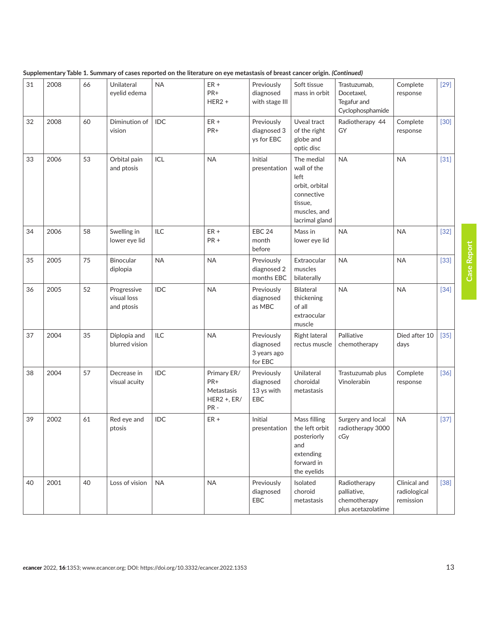| 31 | 2008 | 66 | Unilateral<br>eyelid edema               | <b>NA</b>  | $ER +$<br>PR+<br>$HER2 +$                              | Previously<br>diagnosed<br>with stage III         | Soft tissue<br>mass in orbit                                                                                   | Trastuzumab,<br>Docetaxel,<br>Tegafur and<br>Cyclophosphamide     | Complete<br>response                      | $[29]$ |
|----|------|----|------------------------------------------|------------|--------------------------------------------------------|---------------------------------------------------|----------------------------------------------------------------------------------------------------------------|-------------------------------------------------------------------|-------------------------------------------|--------|
| 32 | 2008 | 60 | Diminution of<br>vision                  | <b>IDC</b> | $ER +$<br>PR+                                          | Previously<br>diagnosed 3<br>ys for EBC           | Uveal tract<br>of the right<br>globe and<br>optic disc                                                         | Radiotherapy 44<br>GY                                             | Complete<br>response                      | $[30]$ |
| 33 | 2006 | 53 | Orbital pain<br>and ptosis               | ICL        | <b>NA</b>                                              | Initial<br>presentation                           | The medial<br>wall of the<br>left<br>orbit, orbital<br>connective<br>tissue,<br>muscles, and<br>lacrimal gland | <b>NA</b>                                                         | <b>NA</b>                                 | $[31]$ |
| 34 | 2006 | 58 | Swelling in<br>lower eye lid             | ILC        | $ER +$<br>$PR +$                                       | <b>EBC 24</b><br>month<br>before                  | Mass in<br>lower eye lid                                                                                       | <b>NA</b>                                                         | <b>NA</b>                                 | $[32]$ |
| 35 | 2005 | 75 | Binocular<br>diplopia                    | <b>NA</b>  | <b>NA</b>                                              | Previously<br>diagnosed 2<br>months EBC           | Extraocular<br>muscles<br>bilaterally                                                                          | <b>NA</b>                                                         | <b>NA</b>                                 | $[33]$ |
| 36 | 2005 | 52 | Progressive<br>visual loss<br>and ptosis | <b>IDC</b> | <b>NA</b>                                              | Previously<br>diagnosed<br>as MBC                 | <b>Bilateral</b><br>thickening<br>of all<br>extraocular<br>muscle                                              | <b>NA</b>                                                         | <b>NA</b>                                 | $[34]$ |
| 37 | 2004 | 35 | Diplopia and<br>blurred vision           | ILC        | <b>NA</b>                                              | Previously<br>diagnosed<br>3 years ago<br>for EBC | Right lateral<br>rectus muscle                                                                                 | Palliative<br>chemotherapy                                        | Died after 10<br>days                     | $[35]$ |
| 38 | 2004 | 57 | Decrease in<br>visual acuity             | <b>IDC</b> | Primary ER/<br>PR+<br>Metastasis<br>HER2 +, ER/<br>PR- | Previously<br>diagnosed<br>13 ys with<br>EBC      | Unilateral<br>choroidal<br>metastasis                                                                          | Trastuzumab plus<br>Vinolerabin                                   | Complete<br>response                      | $[36]$ |
| 39 | 2002 | 61 | Red eye and<br>ptosis                    | IDC        | $ER +$                                                 | Initial<br>presentation                           | Mass filling<br>the left orbit<br>posteriorly<br>and<br>extending<br>forward in<br>the eyelids                 | Surgery and local<br>radiotherapy 3000<br>cGy                     | <b>NA</b>                                 | $[37]$ |
| 40 | 2001 | 40 | Loss of vision                           | <b>NA</b>  | <b>NA</b>                                              | Previously<br>diagnosed<br>EBC                    | Isolated<br>choroid<br>metastasis                                                                              | Radiotherapy<br>palliative,<br>chemotherapy<br>plus acetazolatime | Clinical and<br>radiological<br>remission | $[38]$ |

**Supplementary Table 1. Summary of cases reported on the literature on eye metastasis of breast cancer origin.** *(Continued)*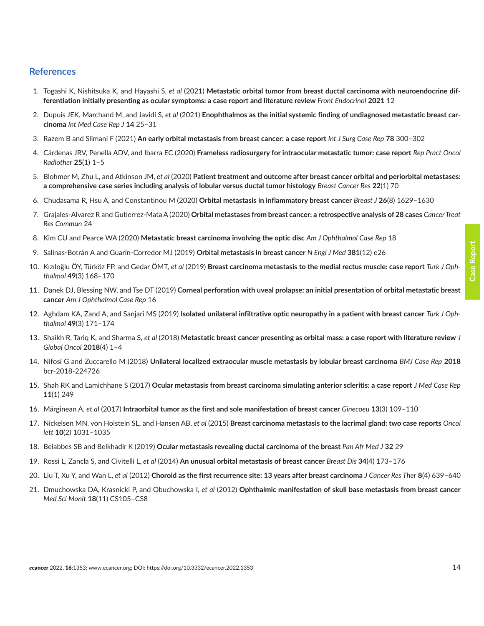### <span id="page-13-0"></span>**References**

- 1. Togashi K, Nishitsuka K, and Hayashi S, *et al* (2021) **Metastatic orbital tumor from breast ductal carcinoma with neuroendocrine differentiation initially presenting as ocular symptoms: a case report and literature review** *Front Endocrinol* **2021** 12
- 2. Dupuis JEK, Marchand M, and Javidi S, *et al* (2021) **Enophthalmos as the initial systemic finding of undiagnosed metastatic breast carcinoma** *Int Med Case Rep J* **14** 25–31
- 3. Razem B and Slimani F (2021) **An early orbital metastasis from breast cancer: a case report** *Int J Surg Case Rep* **78** 300–302
- 4. Cárdenas JRV, Penella ADV, and Ibarra EC (2020) **Frameless radiosurgery for intraocular metastatic tumor: case report** *Rep Pract Oncol Radiother* **25**(1) 1–5
- 5. Blohmer M, Zhu L, and Atkinson JM, *et al* (2020) **Patient treatment and outcome after breast cancer orbital and periorbital metastases: a comprehensive case series including analysis of lobular versus ductal tumor histology** *Breast Cancer Res* **22**(1) 70
- 6. Chudasama R, Hsu A, and Constantinou M (2020) **Orbital metastasis in inflammatory breast cancer** *Breast J* **26**(8) 1629–1630
- 7. Grajales-Alvarez R and Gutierrez-Mata A (2020) **Orbital metastases from breast cancer: a retrospective analysis of 28 cases** *Cancer Treat Res Commun* 24
- 8. Kim CU and Pearce WA (2020) **Metastatic breast carcinoma involving the optic disc** *Am J Ophthalmol Case Rep* 18
- 9. Salinas-Botrán A and Guarín-Corredor MJ (2019) **Orbital metastasis in breast cancer** *N Engl J Med* **381**(12) e26
- 10. Kızıloğlu ÖY, Türköz FP, and Gedar ÖMT, *et al* (2019) **Breast carcinoma metastasis to the medial rectus muscle: case report** *Turk J Ophthalmol* **49**(3) 168–170
- 11. Danek DJ, Blessing NW, and Tse DT (2019) **Corneal perforation with uveal prolapse: an initial presentation of orbital metastatic breast cancer** *Am J Ophthalmol Case Rep* 16
- 12. Aghdam KA, Zand A, and Sanjari MS (2019) **Isolated unilateral infiltrative optic neuropathy in a patient with breast cancer** *Turk J Ophthalmol* **49**(3) 171–174
- 13. Shaikh R, Tariq K, and Sharma S, *et al* (2018) **Metastatic breast cancer presenting as orbital mass: a case report with literature review** *J Global Oncol* **2018**(4) 1–4
- 14. Nifosí G and Zuccarello M (2018) **Unilateral localized extraocular muscle metastasis by lobular breast carcinoma** *BMJ Case Rep* **2018** bcr-2018-224726
- 15. Shah RK and Lamichhane S (2017) **Ocular metastasis from breast carcinoma simulating anterior scleritis: a case report** *J Med Case Rep* **11**(1) 249
- 16. Mǎrginean A, *et al* (2017) **Intraorbital tumor as the first and sole manifestation of breast cancer** *Ginecoeu* **13**(3) 109–110
- 17. Nickelsen MN, von Holstein SL, and Hansen AB, *et al* (2015) **Breast carcinoma metastasis to the lacrimal gland: two case reports** *Oncol lett* **10**(2) 1031–1035
- 18. Belabbes SB and Belkhadir K (2019) **Ocular metastasis revealing ductal carcinoma of the breast** *Pan Afr Med J* **32** 29
- 19. Rossi L, Zancla S, and Civitelli L, *et al* (2014) **An unusual orbital metastasis of breast cancer** *Breast Dis* **34**(4) 173–176
- 20. Liu T, Xu Y, and Wan L, *et al* (2012) **Choroid as the first recurrence site: 13 years after breast carcinoma** *J Cancer Res Ther* **8**(4) 639–640
- 21. Dmuchowska DA, Krasnicki P, and Obuchowska I, *et al* (2012) **Ophthalmic manifestation of skull base metastasis from breast cancer** *Med Sci Monit* **18**(11) CS105–CS8